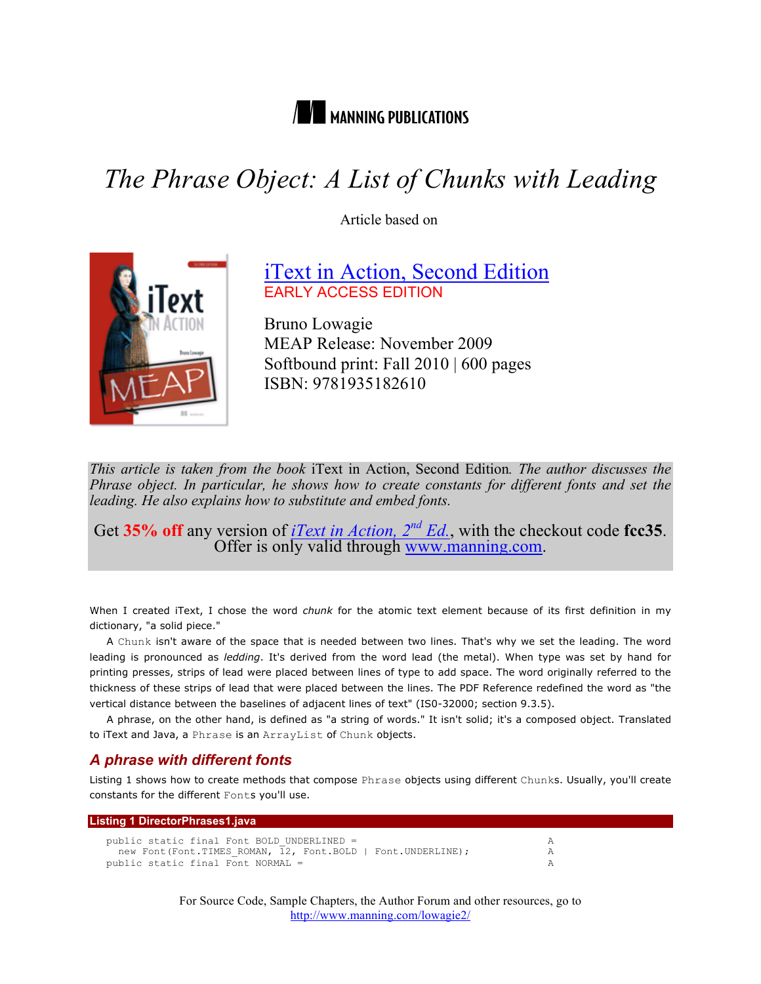

# *The Phrase Object: A List of Chunks with Leading*

Article based on



iText in Action, Second Edition EARLY ACCESS EDITION

Bruno Lowagie MEAP Release: November 2009 Softbound print: Fall 2010 | 600 pages ISBN: 9781935182610

*This article is taken from the book* iText in Action, Second Edition*. The author discusses the Phrase object. In particular, he shows how to create constants for different fonts and set the leading. He also explains how to substitute and embed fonts.*

Get 35% off any version of <u>*iText in Action, 2<sup>nd</sup> Ed.*</u>, with the checkout code fcc35. Offer is only valid through www.manning.com.

When I created iText, I chose the word *chunk* for the atomic text element because of its first definition in my dictionary, "a solid piece."

A Chunk isn't aware of the space that is needed between two lines. That's why we set the leading. The word leading is pronounced as *ledding*. It's derived from the word lead (the metal). When type was set by hand for printing presses, strips of lead were placed between lines of type to add space. The word originally referred to the thickness of these strips of lead that were placed between the lines. The PDF Reference redefined the word as "the vertical distance between the baselines of adjacent lines of text" (IS0-32000; section 9.3.5).

A phrase, on the other hand, is defined as "a string of words." It isn't solid; it's a composed object. Translated to iText and Java, a Phrase is an ArrayList of Chunk objects.

## *A phrase with different fonts*

Listing 1 shows how to create methods that compose Phrase objects using different Chunks. Usually, you'll create constants for the different Fonts you'll use.

| Listing 1 DirectorPhrases1.java                              |  |
|--------------------------------------------------------------|--|
| public static final Font BOLD UNDERLINED =                   |  |
| new Font (Font.TIMES ROMAN, 12, Font.BOLD   Font.UNDERLINE); |  |
| public static final Font NORMAL =                            |  |

For Source Code, Sample Chapters, the Author Forum and other resources, go to http://www.manning.com/lowagie2/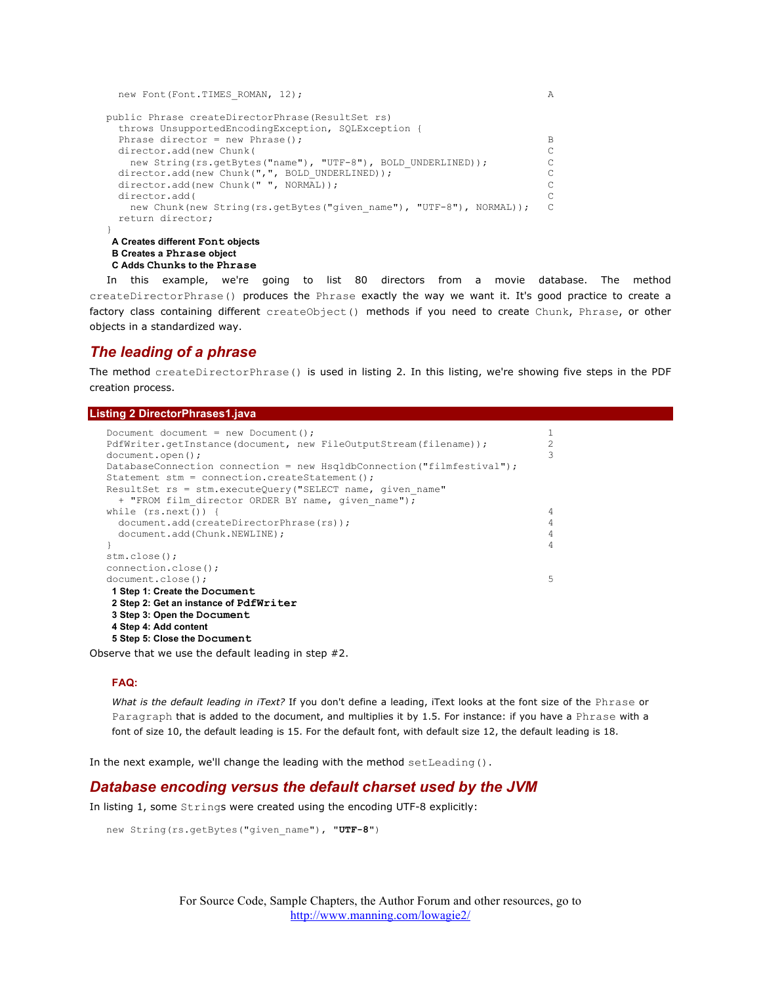```
new Font(Font.TIMES ROMAN, 12); A
public Phrase createDirectorPhrase(ResultSet rs)
  throws UnsupportedEncodingException, SQLException {
 Phrase director = new Phrase(); B
 director.add(new Chunk( C
  new String(rs.getBytes("name"), "UTF-8"), BOLD UNDERLINED)); C
 director.add(new Chunk(",", BOLD_UNDERLINED));<br>director.add(new Chunk(" ", NORMAL)); C
 director.add(new Chunk(" ", NORMAL));
 director.add( C
 new Chunk(new String(rs.getBytes("given_name"), "UTF-8"), NORMAL)); C
  return director;
}
A Creates different Font objects
```

```
B Creates a Phrase object
C Adds Chunks to the Phrase
```
In this example, we're going to list 80 directors from a movie database. The method createDirectorPhrase() produces the Phrase exactly the way we want it. It's good practice to create a factory class containing different createObject() methods if you need to create Chunk, Phrase, or other objects in a standardized way.

# *The leading of a phrase*

The method createDirectorPhrase() is used in listing 2. In this listing, we're showing five steps in the PDF creation process.

#### **Listing 2 DirectorPhrases1.java**

```
Document document = new Document();<br>PdfWriter.getInstance(document, new FileOutputStream(filename)); 2
PdfWriter.getInstance(document, new FileOutputStream(filename)); 2
document.open(); 3
DatabaseConnection connection = new HsqldbConnection("filmfestival");
Statement stm = connection.createStatement();
ResultSet rs = stm.executeQuery("SELECT name, given name"
 + "FROM film director ORDER BY name, given name");
while (rs.next() ) { \qquaddocument.add(createDirectorPhrase(rs)); 4<br>document_add(Chunk_NEWLINE); 4
  document.add(Chunk.NEWLINE); 4
} 4
stm.close();
connection.close();
document.close(); 5
1 Step 1: Create the Document
2 Step 2: Get an instance of PdfWriter
3 Step 3: Open the Document
4 Step 4: Add content
5 Step 5: Close the Document
```
Observe that we use the default leading in step #2.

#### **FAQ:**

*What is the default leading in iText?* If you don't define a leading, iText looks at the font size of the Phrase or Paragraph that is added to the document, and multiplies it by 1.5. For instance: if you have a Phrase with a font of size 10, the default leading is 15. For the default font, with default size 12, the default leading is 18.

In the next example, we'll change the leading with the method setLeading().

## *Database encoding versus the default charset used by the JVM*

In listing 1, some Strings were created using the encoding UTF-8 explicitly:

```
new String(rs.getBytes("given_name"), "UTF-8")
```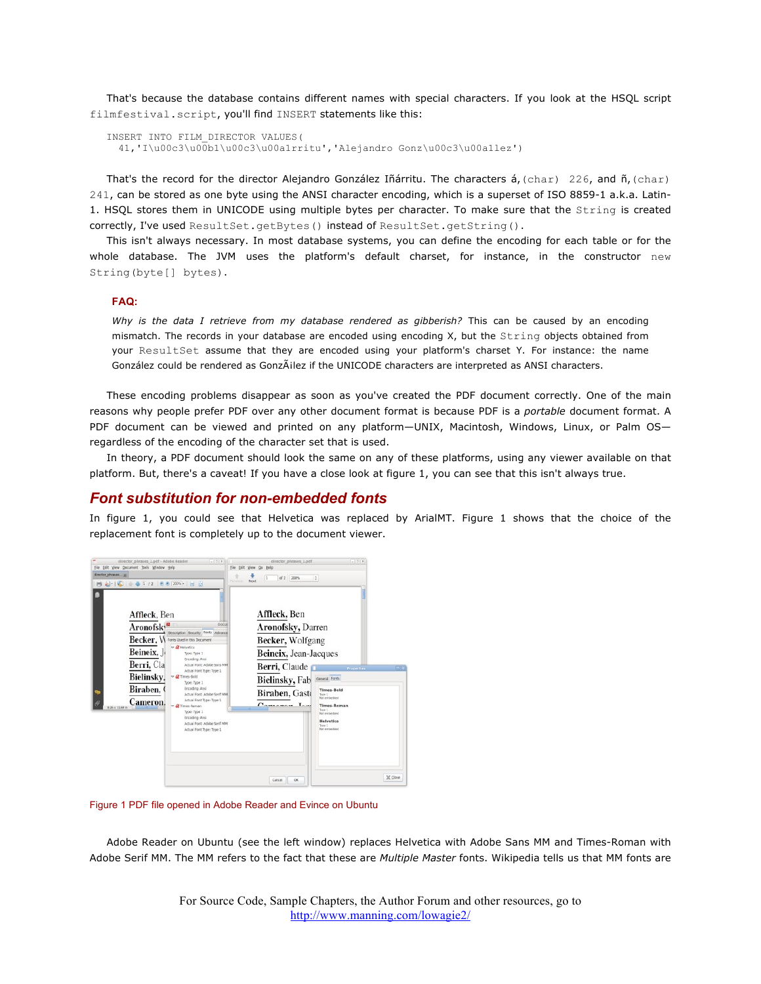That's because the database contains different names with special characters. If you look at the HSQL script filmfestival.script, you'll find INSERT statements like this:

```
INSERT INTO FILM_DIRECTOR VALUES(
  41,'I\u00c3\u00b1\u00c3\u00a1rritu','Alejandro Gonz\u00c3\u00a1lez')
```
That's the record for the director Alejandro González Iñárritu. The characters á, (char) 226, and ñ, (char) 241, can be stored as one byte using the ANSI character encoding, which is a superset of ISO 8859-1 a.k.a. Latin-1. HSQL stores them in UNICODE using multiple bytes per character. To make sure that the String is created correctly, I've used ResultSet.getBytes() instead of ResultSet.getString().

This isn't always necessary. In most database systems, you can define the encoding for each table or for the whole database. The JVM uses the platform's default charset, for instance, in the constructor new String(byte[] bytes).

#### **FAQ:**

*Why is the data I retrieve from my database rendered as gibberish?* This can be caused by an encoding mismatch. The records in your database are encoded using encoding X, but the String objects obtained from your ResultSet assume that they are encoded using your platform's charset Y. For instance: the name González could be rendered as González if the UNICODE characters are interpreted as ANSI characters.

These encoding problems disappear as soon as you've created the PDF document correctly. One of the main reasons why people prefer PDF over any other document format is because PDF is a *portable* document format. A PDF document can be viewed and printed on any platform-UNIX, Macintosh, Windows, Linux, or Palm OSregardless of the encoding of the character set that is used.

In theory, a PDF document should look the same on any of these platforms, using any viewer available on that platform. But, there's a caveat! If you have a close look at figure 1, you can see that this isn't always true.

#### *Font substitution for non-embedded fonts*

In figure 1, you could see that Helvetica was replaced by ArialMT. Figure 1 shows that the choice of the replacement font is completely up to the document viewer.



Figure 1 PDF file opened in Adobe Reader and Evince on Ubuntu

Adobe Reader on Ubuntu (see the left window) replaces Helvetica with Adobe Sans MM and Times-Roman with Adobe Serif MM. The MM refers to the fact that these are *Multiple Master* fonts. Wikipedia tells us that MM fonts are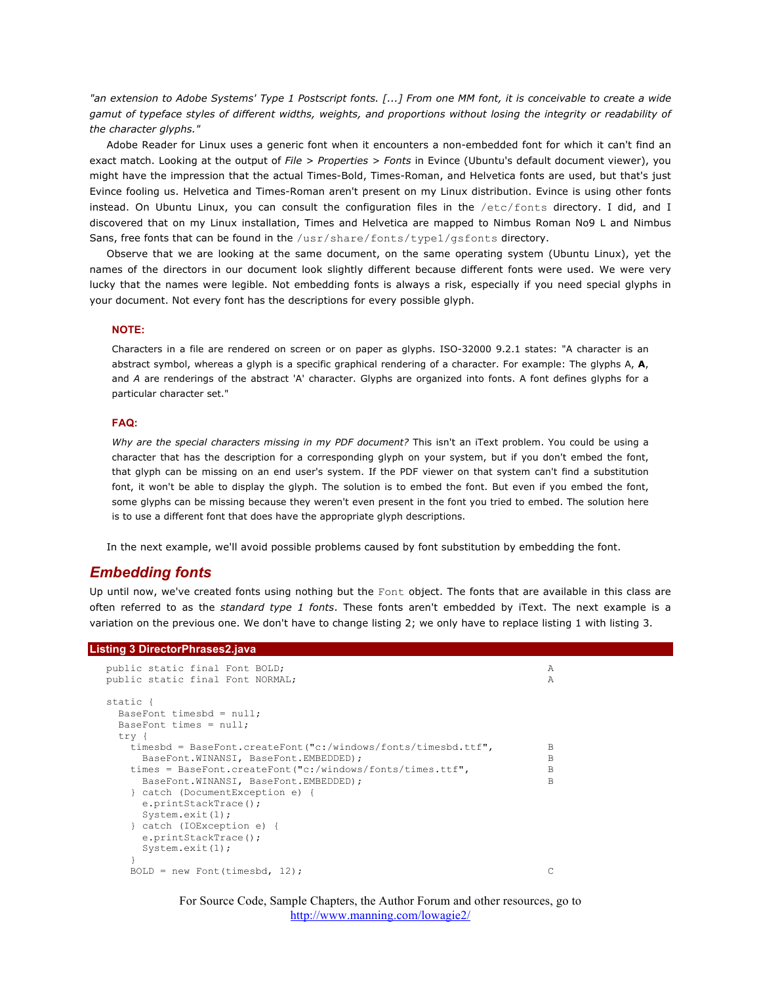*"an extension to Adobe Systems' Type 1 Postscript fonts. [...] From one MM font, it is conceivable to create a wide gamut of typeface styles of different widths, weights, and proportions without losing the integrity or readability of the character glyphs."*

Adobe Reader for Linux uses a generic font when it encounters a non-embedded font for which it can't find an exact match. Looking at the output of *File > Properties > Fonts* in Evince (Ubuntu's default document viewer), you might have the impression that the actual Times-Bold, Times-Roman, and Helvetica fonts are used, but that's just Evince fooling us. Helvetica and Times-Roman aren't present on my Linux distribution. Evince is using other fonts instead. On Ubuntu Linux, you can consult the configuration files in the /etc/fonts directory. I did, and I discovered that on my Linux installation, Times and Helvetica are mapped to Nimbus Roman No9 L and Nimbus Sans, free fonts that can be found in the /usr/share/fonts/type1/gsfonts directory.

Observe that we are looking at the same document, on the same operating system (Ubuntu Linux), yet the names of the directors in our document look slightly different because different fonts were used. We were very lucky that the names were legible. Not embedding fonts is always a risk, especially if you need special glyphs in your document. Not every font has the descriptions for every possible glyph.

#### **NOTE:**

Characters in a file are rendered on screen or on paper as glyphs. ISO-32000 9.2.1 states: "A character is an abstract symbol, whereas a glyph is a specific graphical rendering of a character. For example: The glyphs A, **A**, and *A* are renderings of the abstract 'A' character. Glyphs are organized into fonts. A font defines glyphs for a particular character set."

#### **FAQ:**

*Why are the special characters missing in my PDF document?* This isn't an iText problem. You could be using a character that has the description for a corresponding glyph on your system, but if you don't embed the font, that glyph can be missing on an end user's system. If the PDF viewer on that system can't find a substitution font, it won't be able to display the glyph. The solution is to embed the font. But even if you embed the font, some glyphs can be missing because they weren't even present in the font you tried to embed. The solution here is to use a different font that does have the appropriate glyph descriptions.

In the next example, we'll avoid possible problems caused by font substitution by embedding the font.

## *Embedding fonts*

Up until now, we've created fonts using nothing but the Font object. The fonts that are available in this class are often referred to as the *standard type 1 fonts*. These fonts aren't embedded by iText. The next example is a variation on the previous one. We don't have to change listing 2; we only have to replace listing 1 with listing 3.

## **Listing 3 DirectorPhrases2.java**

| public static final Font BOLD;<br>public static final Font NORMAL; | Α<br>Α |
|--------------------------------------------------------------------|--------|
| static {                                                           |        |
| BaseFont timesbd = $null;$                                         |        |
| BaseFont times = $null:$                                           |        |
| try {                                                              |        |
| timesbd = BaseFont.createFont("c:/windows/fonts/timesbd.ttf",      | B      |
| BaseFont. WINANSI, BaseFont. EMBEDDED) ;                           | B      |
| times = BaseFont.createFont("c:/windows/fonts/times.ttf",          | B      |
| BaseFont. WINANSI, BaseFont. EMBEDDED) ;                           | B      |
| catch (DocumentException e) {                                      |        |
| $e.$ printStackTrace $()$ ;                                        |        |
| System.exit $(1)$ ;                                                |        |
| catch (IOException e) {                                            |        |
| $e.$ printStackTrace $()$ ;                                        |        |
| System.exit $(1)$ ;                                                |        |
|                                                                    |        |
| $BOLD = new Font(timesbd, 12);$                                    |        |

For Source Code, Sample Chapters, the Author Forum and other resources, go to http://www.manning.com/lowagie2/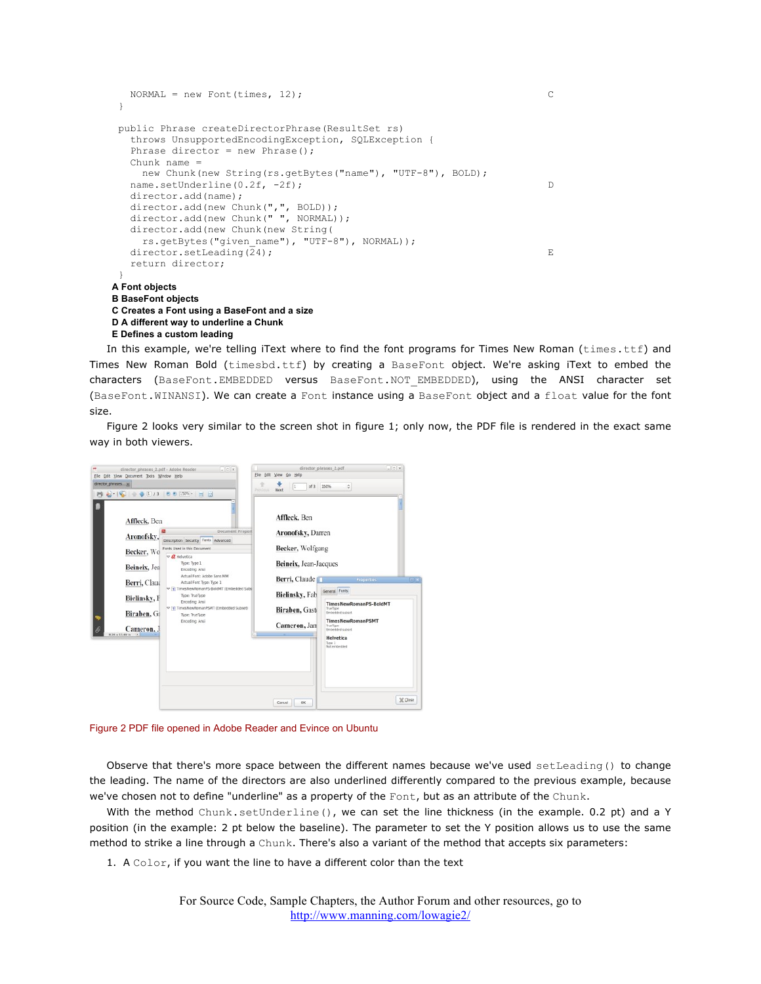```
NORMAL = new Font(times, 12); }
  public Phrase createDirectorPhrase(ResultSet rs)
    throws UnsupportedEncodingException, SQLException {
   Phrase director = new Phrase();
   Chunk name = new Chunk(new String(rs.getBytes("name"), "UTF-8"), BOLD);
   name.setUnderline(0.2f, -2f); D
    director.add(name);
   director.add(new Chunk(",", BOLD));
   director.add(new Chunk(" ", NORMAL));
    director.add(new Chunk(new String(
     rs.getBytes("given_name"), "UTF-8"), NORMAL));
   director.setLeading(24); E
    return director;
 }
A Font objects
B BaseFont objects
C Creates a Font using a BaseFont and a size
D A different way to underline a Chunk
E Defines a custom leading
```
In this example, we're telling iText where to find the font programs for Times New Roman (times.ttf) and Times New Roman Bold (timesbd.ttf) by creating a BaseFont object. We're asking iText to embed the characters (BaseFont.EMBEDDED versus BaseFont.NOT\_EMBEDDED), using the ANSI character set (BaseFont.WINANSI). We can create a Font instance using a BaseFont object and a float value for the font size.

Figure 2 looks very similar to the screen shot in figure 1; only now, the PDF file is rendered in the exact same way in both viewers.

| File Edit View Document Tools Window Help<br>director phrases a)<br>A C + U 13 0 0 150% H H<br>a.                                                                       |                                                                                                                                                                                                                                                                                                                                                                           | Previous: | File Edit View Go Help<br>of $3$<br>l1<br>Next                                                                                                      | $\ddot{\circ}$<br>150%                                                                                                                                                                               |         |
|-------------------------------------------------------------------------------------------------------------------------------------------------------------------------|---------------------------------------------------------------------------------------------------------------------------------------------------------------------------------------------------------------------------------------------------------------------------------------------------------------------------------------------------------------------------|-----------|-----------------------------------------------------------------------------------------------------------------------------------------------------|------------------------------------------------------------------------------------------------------------------------------------------------------------------------------------------------------|---------|
| Affleck, Ben<br>Aronofsky,<br>Becker, Wo<br>Beineix, Jea<br>Berri, Claud<br>Bielinsky, F<br>Biraben, Ga<br>ъ<br>Cameron, J<br>$8.26 \times 11.49$ in $\left  4 \right $ | Document Propert<br>Description Security Fords Advanced<br>Fonts Used in this Document<br>$\nabla$ <i>Q</i> Helvetica<br>Type: Type 1<br>Encoding: Ansi<br>Actual Font: Adobe Sans MM<br>Actual Font Type: Type 1<br>TimesNewRomanPS-BoldMT (Embedded Subs<br>Type: TrueType<br>Encoding: Ansi<br>TimesNewRomanPSMT (Embedded Subset)<br>Type: TrueType<br>Encoding: Ansi |           | Affleck, Ben<br>Aronofsky, Darren<br>Becker, Wolfgang<br>Beineix, Jean-Jacques<br>Berri, Claude<br>Bielinsky, Fab<br>Biraben, Gaste<br>Cameron, Jan | Properties<br>General Fonts<br><b>TimesNewRomanPS-BoldMT</b><br>TrueTime<br>Embedded subset<br><b>TimesNewRomanPSMT</b><br>TrueType<br><b>Embedded subset</b><br>Helvetica<br>Type 1<br>Not embedded | 日间      |
|                                                                                                                                                                         |                                                                                                                                                                                                                                                                                                                                                                           |           | Cancel<br>OK                                                                                                                                        |                                                                                                                                                                                                      | X Close |

Figure 2 PDF file opened in Adobe Reader and Evince on Ubuntu

Observe that there's more space between the different names because we've used setLeading() to change the leading. The name of the directors are also underlined differently compared to the previous example, because we've chosen not to define "underline" as a property of the Font, but as an attribute of the Chunk.

With the method Chunk.setUnderline(), we can set the line thickness (in the example. 0.2 pt) and a Y position (in the example: 2 pt below the baseline). The parameter to set the Y position allows us to use the same method to strike a line through a Chunk. There's also a variant of the method that accepts six parameters:

1. A Color, if you want the line to have a different color than the text